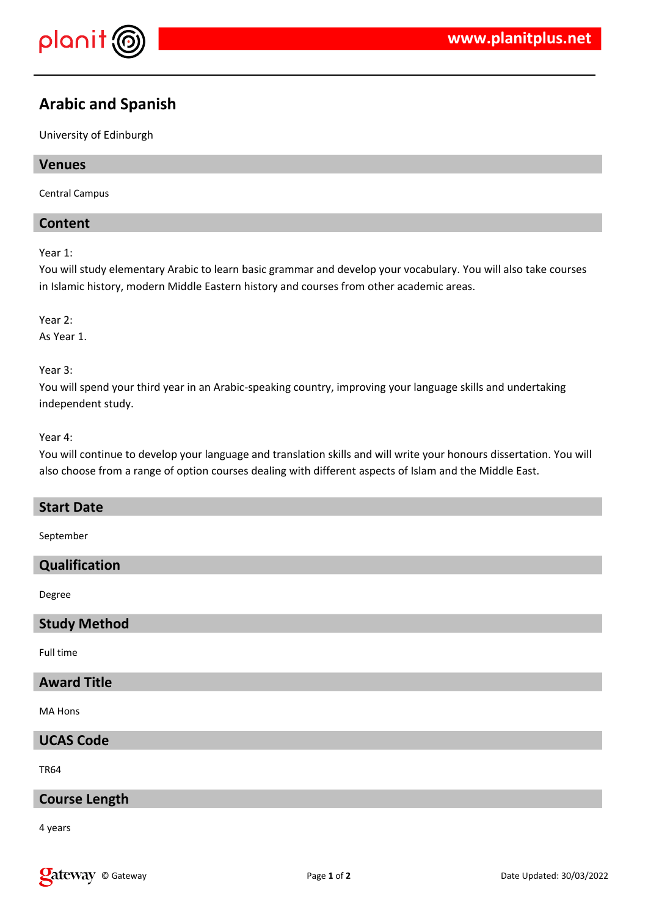

# **Arabic and Spanish**

University of Edinburgh

# **Venues**

Central Campus

# **Content**

Year 1:

You will study elementary Arabic to learn basic grammar and develop your vocabulary. You will also take courses in Islamic history, modern Middle Eastern history and courses from other academic areas.

Year 2:

As Year 1.

Year 3:

You will spend your third year in an Arabic-speaking country, improving your language skills and undertaking independent study.

Year 4:

You will continue to develop your language and translation skills and will write your honours dissertation. You will also choose from a range of option courses dealing with different aspects of Islam and the Middle East.

#### **Start Date**

September

## **Qualification**

Degree

#### **Study Method**

Full time

## **Award Title**

MA Hons

**UCAS Code**

TR64

#### **Course Length**

4 years